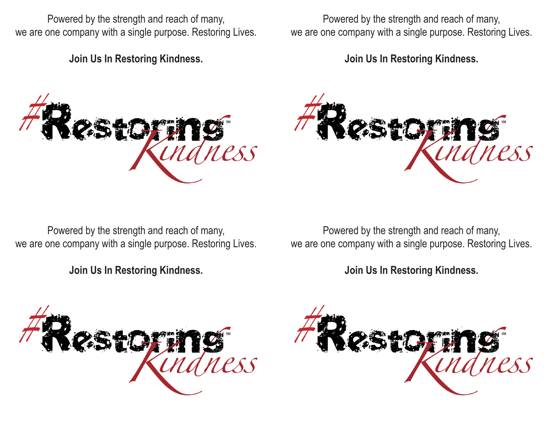Powered by the strength and reach of many, we are one company with a single purpose. Restoring Lives.

**Join Us In Restoring Kindness.**

Powered by the strength and reach of many, we are one company with a single purpose. Restoring Lives.

**Join Us In Restoring Kindness.**





Powered by the strength and reach of many, we are one company with a single purpose. Restoring Lives.

**Join Us In Restoring Kindness.**

Powered by the strength and reach of many, we are one company with a single purpose. Restoring Lives.

**Join Us In Restoring Kindness.**